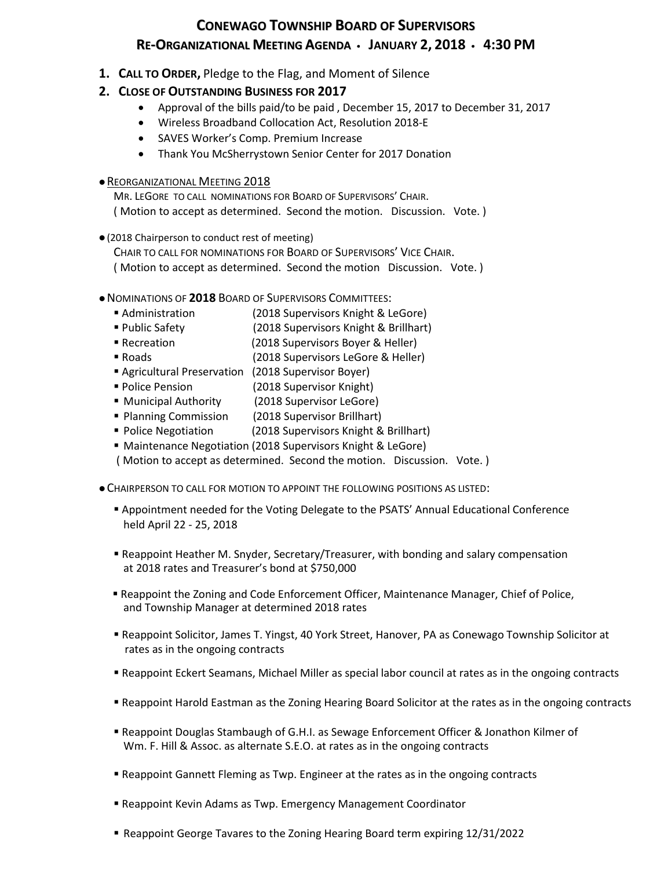# **CONEWAGO TOWNSHIP BOARD OF SUPERVISORS RE-ORGANIZATIONAL MEETING AGENDA JANUARY 2, 2018 4:30 PM**

- **1. CALL TO ORDER,** Pledge to the Flag, and Moment of Silence
- **2. CLOSE OF OUTSTANDING BUSINESS FOR 2017**
	- Approval of the bills paid/to be paid , December 15, 2017 to December 31, 2017
	- Wireless Broadband Collocation Act, Resolution 2018-E
	- SAVES Worker's Comp. Premium Increase
	- Thank You McSherrystown Senior Center for 2017 Donation
- **REORGANIZATIONAL MEETING 2018**

 MR. LEGORE TO CALL NOMINATIONS FOR BOARD OF SUPERVISORS' CHAIR. ( Motion to accept as determined. Second the motion. Discussion. Vote. )

(2018 Chairperson to conduct rest of meeting)

 CHAIR TO CALL FOR NOMINATIONS FOR BOARD OF SUPERVISORS' VICE CHAIR. ( Motion to accept as determined. Second the motion Discussion. Vote. )

- NOMINATIONS OF **2018** BOARD OF SUPERVISORS COMMITTEES:
	- Administration (2018 Supervisors Knight & LeGore)
	- Public Safety (2018 Supervisors Knight & Brillhart)
	- Recreation (2018 Supervisors Boyer & Heller)
	- Roads (2018 Supervisors LeGore & Heller)
	- Agricultural Preservation (2018 Supervisor Boyer)
	- Police Pension (2018 Supervisor Knight)
	- Municipal Authority (2018 Supervisor LeGore)
	- **Planning Commission** (2018 Supervisor Brillhart)
	- Police Negotiation (2018 Supervisors Knight & Brillhart)
	- Maintenance Negotiation (2018 Supervisors Knight & LeGore)

( Motion to accept as determined. Second the motion. Discussion. Vote. )

- CHAIRPERSON TO CALL FOR MOTION TO APPOINT THE FOLLOWING POSITIONS AS LISTED:
	- Appointment needed for the Voting Delegate to the PSATS' Annual Educational Conference held April 22 - 25, 2018
	- Reappoint Heather M. Snyder, Secretary/Treasurer, with bonding and salary compensation at 2018 rates and Treasurer's bond at \$750,000
	- Reappoint the Zoning and Code Enforcement Officer, Maintenance Manager, Chief of Police, and Township Manager at determined 2018 rates
	- Reappoint Solicitor, James T. Yingst, 40 York Street, Hanover, PA as Conewago Township Solicitor at rates as in the ongoing contracts
	- Reappoint Eckert Seamans, Michael Miller as special labor council at rates as in the ongoing contracts
	- Reappoint Harold Eastman as the Zoning Hearing Board Solicitor at the rates as in the ongoing contracts
	- Reappoint Douglas Stambaugh of G.H.I. as Sewage Enforcement Officer & Jonathon Kilmer of Wm. F. Hill & Assoc. as alternate S.E.O. at rates as in the ongoing contracts
	- **Reappoint Gannett Fleming as Twp. Engineer at the rates as in the ongoing contracts**
	- Reappoint Kevin Adams as Twp. Emergency Management Coordinator
	- **Reappoint George Tavares to the Zoning Hearing Board term expiring 12/31/2022**